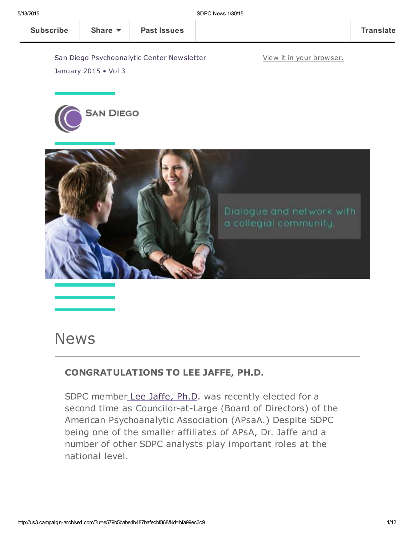View it in your [browser.](http://us3.campaign-archive2.com/?u=e579b5babe4b487bafecbf868&id=bfa99ec3c9&e=[UNIQID])

San Diego Psychoanalytic Center Newsletter



January 2015 • Vol 3



# News

### CONGRATULATIONS TO LEE JAFFE, PH.D.

SDPC member Lee [Jaffe,](http://www.sdpsychoanalyticcenter.org/members/profiles/10#profile-main) Ph.D. was recently elected for a second time as Councilor-at-Large (Board of Directors) of the American Psychoanalytic Association (APsaA.) Despite SDPC being one of the smaller affiliates of APsA, Dr. Jaffe and a number of other SDPC analysts play important roles at the national level.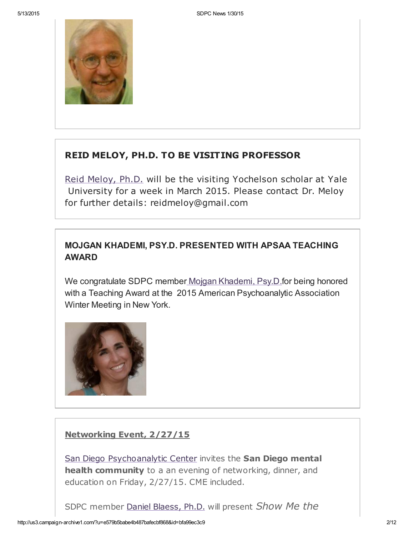

### REID MELOY, PH.D. TO BE VISITING PROFESSOR

Reid [Meloy,](http://www.sdpsychoanalyticcenter.org/members/profiles/61#profile-main) Ph.D. will be the visiting Yochelson scholar at Yale University for a week in March 2015. Please contact Dr. Meloy for further details: reidmeloy@gmail.com

### MOJGAN KHADEMI, PSY.D. PRESENTED WITH APSAA TEACHING AWARD

We congratulate SDPC member Mojgan Khademi, Psy.D.for being honored with a Teaching Award at the 2015 American Psychoanalytic Association Winter Meeting in New York.



### Networking Event, 2/27/15

San Diego [Psychoanalytic](http://www.sdpsychoanalyticcenter.org/) Center invites the San Diego mental health community to a an evening of networking, dinner, and education on Friday, 2/27/15. CME included.

SDPC member Daniel [Blaess,](http://www.sdpsychoanalyticcenter.org/members/profiles/32#profile-main) Ph.D. will present Show Me the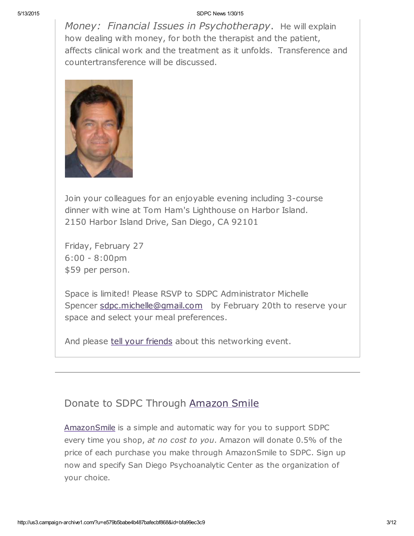Money: Financial Issues in Psychotherapy, He will explain how dealing with money, for both the therapist and the patient, affects clinical work and the treatment as it unfolds. Transference and countertransference will be discussed.



Join your colleagues for an enjoyable evening including 3-course dinner with wine at Tom Ham's Lighthouse on Harbor Island. 2150 Harbor Island Drive, San Diego, CA 92101

Friday, February 27 6:00 - 8:00pm \$59 per person.

Space is limited! Please RSVP to SDPC Administrator Michelle Spencer [sdpc.michelle@gmail.com](mailto:sdpc.michelle@gmail.com) by February 20th to reserve your space and select your meal preferences.

And please tell your [friends](mailto:?subject=Show%20me%20the%20money%20-%20SDPC%20networking%20event%202%2F27%2F15&body=Greetings.%20Check%20out%20this%20upcoming%20networking%20event%20open%20to%20any%20San%20Diego%20mental%20health%20professional.%20%0A___%0ASan%20Diego%20Psychoanalytic%20Center%20invites%20the%20San%20Diego%20mental%20health%20community%20to%20a%20an%20evening%20of%20networking%2C%20dinner%2C%20and%20education%20on%20Friday%2C%202%2F27%2F15.%20CME%20included.%20%20%0A%20%0ASDPC%20member%20Daniel%20Blaess%2C%20Ph.D.%20will%20present%20Show%20Me%20the%20Money%3A%20%20Financial%20Issues%20in%20Psychotherapy.%20%20He%20will%20explain%20how%20dealing%20with%20money%2C%20for%20both%20the%20therapist%20and%20the%20patient%2C%20affects%20clinical%20work%20and%20the%20treatment%20as%20it%20unfolds.%20%20Transference%20and%20countertransference%20will%20be%20discussed.%0A%20%0AJoin%20your%20colleagues%20for%20an%20enjoyable%20evening%20including%203-course%20dinner%20with%20wine%20at%20Tom%20Ham%27s%20Lighthouse%20on%20Harbor%20Island.%0A2150%20Harbor%20Island%20Drive%2C%20San%20Diego%2C%20CA%2092101%0A%20%0AFriday%2C%20February%2027%0A6%3A00%20-%208%3A00pm%0A%2459%20per%20person.%0A%20%0ASpace%20is%20limited!%20Please%20RSVP%20to%20SDPC%20Administrator%20Michelle%20Spencer%20sdpc.michelle%40gmail.com%20%20%20by%20February%2020th%20to%20reserve%20your%20space%20and%20select%20your%20meal%20preferences.%20%0A%0AAnd%20please%20tell%20your%20friends%20about%20this%20networking%20event.%20) about this networking event.

### Donate to SDPC Through [Amazon](http://www.sdpsychoanalyticcenter.org/node/395#overlay-context=node/395) Smile

[AmazonSmile](http://smile.amazon.com/about) is a simple and automatic way for you to support SDPC every time you shop, at no cost to you. Amazon will donate 0.5% of the price of each purchase you make through AmazonSmile to SDPC. Sign up now and specify San Diego Psychoanalytic Center as the organization of your choice.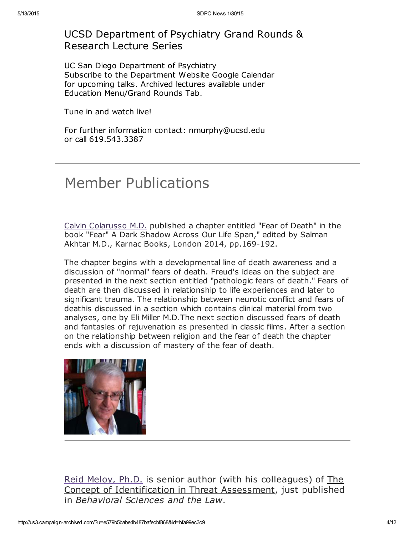### UCSD Department of Psychiatry Grand Rounds & Research Lecture Series

UC San Diego Department of Psychiatry Subscribe to the Department Website Google Calendar for upcoming talks. Archived lectures available under Education Menu/Grand Rounds Tab.

Tune in and watch live!

For further information contact: nmurphy@ucsd.edu or call 619.543.3387

# Member Publications

Calvin [Colarusso](http://www.sdpsychoanalyticcenter.org/members/profiles/20#profile-main) M.D. published a chapter entitled "Fear of Death" in the book "Fear" A Dark Shadow Across Our Life Span," edited by Salman Akhtar M.D., Karnac Books, London 2014, pp.169-192.

The chapter begins with a developmental line of death awareness and a discussion of "normal" fears of death. Freud's ideas on the subject are presented in the next section entitled "pathologic fears of death." Fears of death are then discussed in relationship to life experiences and later to significant trauma. The relationship between neurotic conflict and fears of deathis discussed in a section which contains clinical material from two analyses, one by Eli Miller M.D.The next section discussed fears of death and fantasies of rejuvenation as presented in classic films. After a section on the relationship between religion and the fear of death the chapter ends with a discussion of mastery of the fear of death.



Reid [Meloy,](http://www.sdpsychoanalyticcenter.org/members/profiles/61#profile-main) Ph.D. is senior author (with his colleagues) of The Concept of Identification in Threat Assessment, just published in Behavioral Sciences and the Law.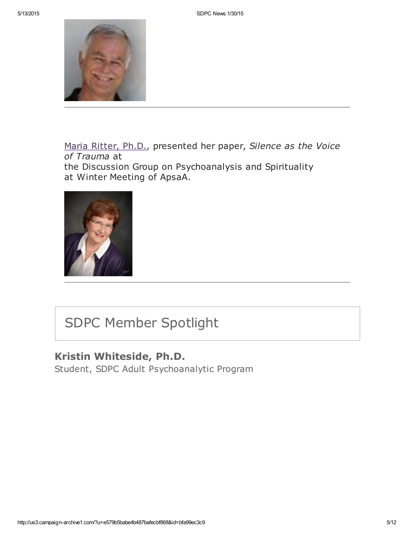

Maria [Ritter,](http://www.sdpsychoanalyticcenter.org/members/profiles/3#profile-main) Ph.D., presented her paper, Silence as the Voice of Trauma at

the Discussion Group on Psychoanalysis and Spirituality at Winter Meeting of ApsaA.



# SDPC Member Spotlight

### Kristin Whiteside, Ph.D.

Student, SDPC Adult Psychoanalytic Program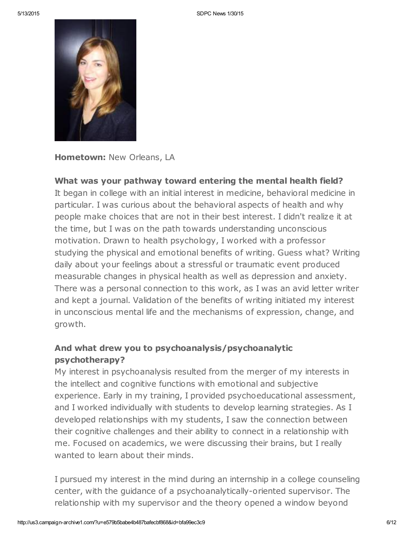

Hometown: New Orleans, LA

### What was your pathway toward entering the mental health field?

It began in college with an initial interest in medicine, behavioral medicine in particular. I was curious about the behavioral aspects of health and why people make choices that are not in their best interest. I didn't realize it at the time, but I was on the path towards understanding unconscious motivation. Drawn to health psychology, I worked with a professor studying the physical and emotional benefits of writing. Guess what? Writing daily about your feelings about a stressful or traumatic event produced measurable changes in physical health as well as depression and anxiety. There was a personal connection to this work, as I was an avid letter writer and kept a journal. Validation of the benefits of writing initiated my interest in unconscious mental life and the mechanisms of expression, change, and growth.

### And what drew you to psychoanalysis/psychoanalytic psychotherapy?

My interest in psychoanalysis resulted from the merger of my interests in the intellect and cognitive functions with emotional and subjective experience. Early in my training, I provided psychoeducational assessment, and I worked individually with students to develop learning strategies. As I developed relationships with my students, I saw the connection between their cognitive challenges and their ability to connect in a relationship with me. Focused on academics, we were discussing their brains, but I really wanted to learn about their minds.

I pursued my interest in the mind during an internship in a college counseling center, with the guidance of a psychoanalytically-oriented supervisor. The relationship with my supervisor and the theory opened a window beyond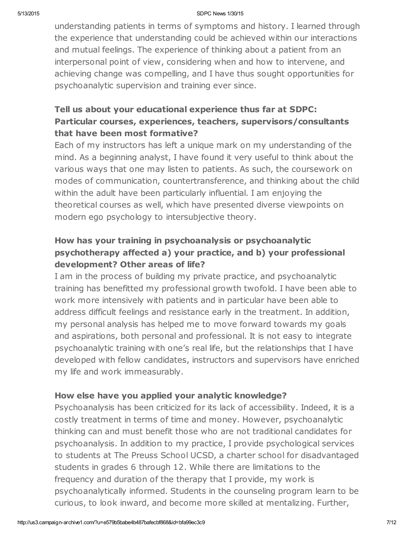understanding patients in terms of symptoms and history. I learned through the experience that understanding could be achieved within our interactions and mutual feelings. The experience of thinking about a patient from an interpersonal point of view, considering when and how to intervene, and achieving change was compelling, and I have thus sought opportunities for psychoanalytic supervision and training ever since.

### Tell us about your educational experience thus far at SDPC: Particular courses, experiences, teachers, supervisors/consultants that have been most formative?

Each of my instructors has left a unique mark on my understanding of the mind. As a beginning analyst, I have found it very useful to think about the various ways that one may listen to patients. As such, the coursework on modes of communication, countertransference, and thinking about the child within the adult have been particularly influential. I am enjoying the theoretical courses as well, which have presented diverse viewpoints on modern ego psychology to intersubjective theory.

### How has your training in psychoanalysis or psychoanalytic psychotherapy affected a) your practice, and b) your professional development? Other areas of life?

I am in the process of building my private practice, and psychoanalytic training has benefitted my professional growth twofold. I have been able to work more intensively with patients and in particular have been able to address difficult feelings and resistance early in the treatment. In addition, my personal analysis has helped me to move forward towards my goals and aspirations, both personal and professional. It is not easy to integrate psychoanalytic training with one's real life, but the relationships that I have developed with fellow candidates, instructors and supervisors have enriched my life and work immeasurably.

### How else have you applied your analytic knowledge?

Psychoanalysis has been criticized for its lack of accessibility. Indeed, it is a costly treatment in terms of time and money. However, psychoanalytic thinking can and must benefit those who are not traditional candidates for psychoanalysis. In addition to my practice, I provide psychological services to students at The Preuss School UCSD, a charter school for disadvantaged students in grades 6 through 12. While there are limitations to the frequency and duration of the therapy that I provide, my work is psychoanalytically informed. Students in the counseling program learn to be curious, to look inward, and become more skilled at mentalizing. Further,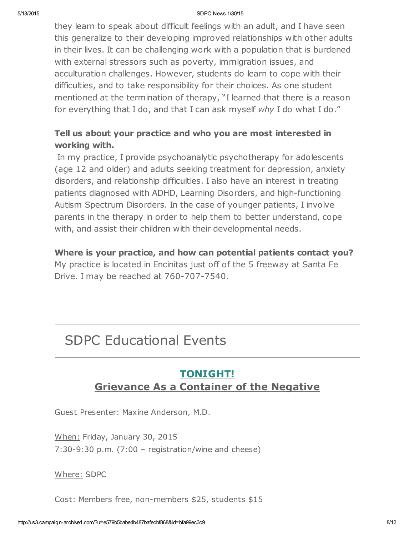they learn to speak about difficult feelings with an adult, and I have seen this generalize to their developing improved relationships with other adults in their lives. It can be challenging work with a population that is burdened with external stressors such as poverty, immigration issues, and acculturation challenges. However, students do learn to cope with their difficulties, and to take responsibility for their choices. As one student mentioned at the termination of therapy, "I learned that there is a reason for everything that I do, and that I can ask myself why I do what I do."

### Tell us about your practice and who you are most interested in working with.

In my practice, I provide psychoanalytic psychotherapy for adolescents (age 12 and older) and adults seeking treatment for depression, anxiety disorders, and relationship difficulties. I also have an interest in treating patients diagnosed with ADHD, Learning Disorders, and high-functioning Autism Spectrum Disorders. In the case of younger patients, I involve parents in the therapy in order to help them to better understand, cope with, and assist their children with their developmental needs.

Where is your practice, and how can potential patients contact you?

My practice is located in Encinitas just off of the 5 freeway at Santa Fe Drive. I may be reached at 760-707-7540.

# SDPC Educational Events

### TONIGHT! Grievance As a Container of the Negative

Guest Presenter: Maxine Anderson, M.D.

When: Friday, January 30, 2015 7:30-9:30 p.m. (7:00 – registration/wine and cheese)

Where: SDPC

Cost: Members free, non-members \$25, students \$15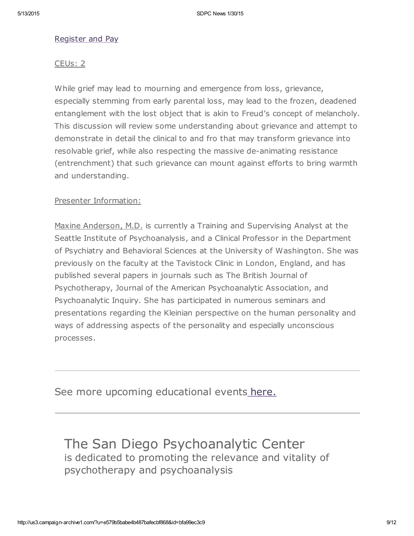#### [Register](http://www.sdpsychoanalyticcenter.org/register-and-pay-online) and Pay

#### CEUs: 2

While grief may lead to mourning and emergence from loss, grievance, especially stemming from early parental loss, may lead to the frozen, deadened entanglement with the lost object that is akin to Freud's concept of melancholy. This discussion will review some understanding about grievance and attempt to demonstrate in detail the clinical to and fro that may transform grievance into resolvable grief, while also respecting the massive de-animating resistance (entrenchment) that such grievance can mount against efforts to bring warmth and understanding.

#### Presenter Information:

Maxine Anderson, M.D. is currently a Training and Supervising Analyst at the Seattle Institute of Psychoanalysis, and a Clinical Professor in the Department of Psychiatry and Behavioral Sciences at the University of Washington. She was previously on the faculty at the Tavistock Clinic in London, England, and has published several papers in journals such as The British Journal of Psychotherapy, Journal of the American Psychoanalytic Association, and Psychoanalytic Inquiry. She has participated in numerous seminars and presentations regarding the Kleinian perspective on the human personality and ways of addressing aspects of the personality and especially unconscious processes.

See more upcoming educational events [here.](http://www.sdpsychoanalyticcenter.org/community-connections/upcoming-events)

### The San Diego Psychoanalytic Center is dedicated to promoting the relevance and vitality of psychotherapy and psychoanalysis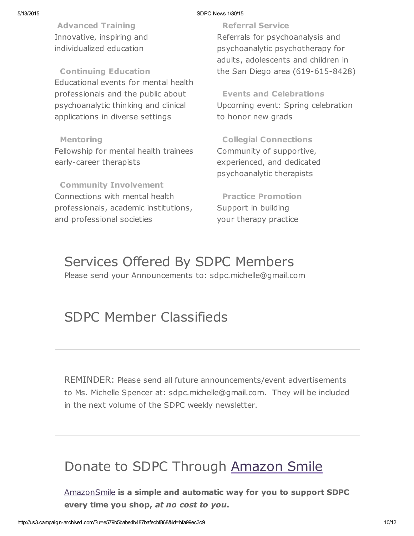Advanced Training Innovative, inspiring and individualized education

Continuing Education Educational events for mental health professionals and the public about psychoanalytic thinking and clinical applications in diverse settings

#### Mentoring

Fellowship for mental health trainees early-career therapists

Community Involvement Connections with mental health professionals, academic institutions, and professional societies

Referral Service Referrals for psychoanalysis and psychoanalytic psychotherapy for adults, adolescents and children in the San Diego area (619-615-8428)

Events and Celebrations Upcoming event: Spring celebration to honor new grads

Collegial Connections Community of supportive, experienced, and dedicated psychoanalytic therapists

Practice Promotion Support in building your therapy practice

# Services Offered By SDPC Members

Please send your Announcements to: sdpc.michelle@gmail.com

# SDPC Member Classifieds

REMINDER: Please send all future announcements/event advertisements to Ms. Michelle Spencer at: sdpc.michelle@gmail.com. They will be included in the next volume of the SDPC weekly newsletter.

# Donate to SDPC Through [Amazon](http://www.sdpsychoanalyticcenter.org/node/395#overlay-context=node/395) Smile

[AmazonSmile](http://smile.amazon.com/about) is a simple and automatic way for you to support SDPC every time you shop, at no cost to you.